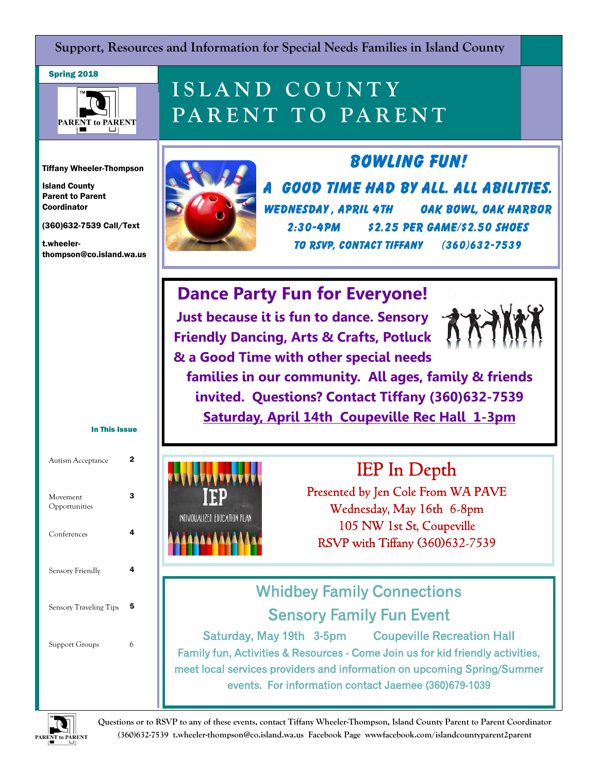**Support, Resources and Information for Special Needs Families in Island County**

#### Spring 2018



## **I S L A N D C O U N T Y**  PARENT TO PARENT

Tiffany Wheeler-Thompson

Island County Parent to Parent Coordinator

(360)632-7539 Call/Text

t.wheelerthompson@co.island.wa.us

In This Issue

3

Autism Acceptance 2

Conferences 4

Sensory Friendly **4** 

Sensory Traveling Tips 5

Support Groups 6

Movement Opportunities



**A good time had by all. All abilities. Wednesday , April 4th Oak Bowl, Oak Harbor 2:30-4pm \$2.25 per game/\$2.50 shoes To RSVP, Contact Tiffany (360)632-7539**

**Bowling Fun!** 

### **Dance Party Fun for Everyone!**

**Just because it is fun to dance. Sensory Friendly Dancing, Arts & Crafts, Potluck & a Good Time with other special needs** 



**families in our community. All ages, family & friends invited. Questions? Contact Tiffany (360)632-7539 Saturday, April 14th Coupeville Rec Hall 1-3pm** 



IEP In Depth Presented by Jen Cole From WA PAVE Wednesday, May 16th 6-8pm

105 NW 1st St, Coupeville RSVP with Tiffany (360)632-7539

## Whidbey Family Connections Sensory Family Fun Event

Saturday, May 19th 3-5pm Coupeville Recreation Hall Family fun, Activities & Resources - Come Join us for kid friendly activities, meet local services providers and information on upcoming Spring/Summer events. For information contact Jaemee (360)679-1039



**Questions or to RSVP to any of these events, contact Tiffany Wheeler-Thompson, Island County Parent to Parent Coordinator (360)632-7539 t.wheeler-thompson@co.island.wa.us Facebook Page wwwfacebook.com/islandcountyparent2parent**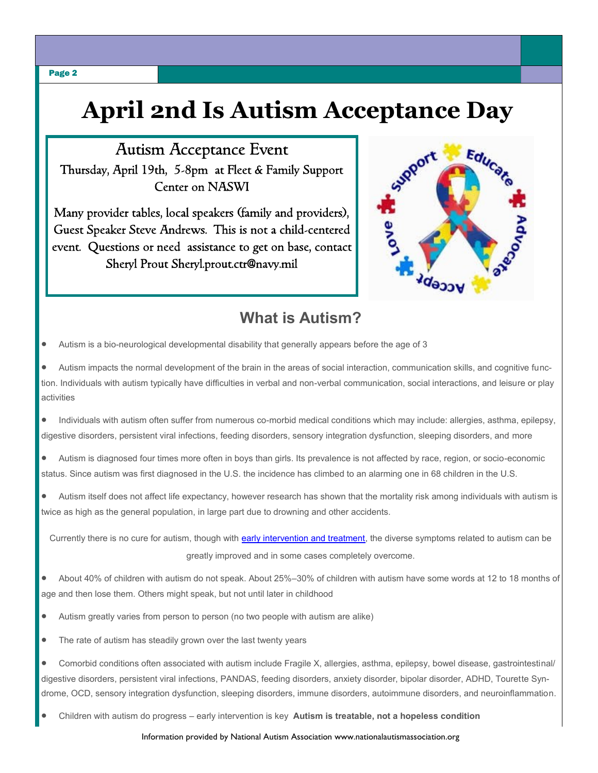# **April 2nd Is Autism Acceptance Day**

Autism Acceptance Event Thursday, April 19th, 5-8pm at Fleet & Family Support Center on NASWI

Many provider tables, local speakers (family and providers), Guest Speaker Steve Andrews. This is not a child-centered event. Questions or need assistance to get on base, contact Sheryl Prout Sheryl.prout.ctr@navy.mil



### **What is Autism?**

Autism is a bio-neurological developmental disability that generally appears before the age of 3

 Autism impacts the normal development of the brain in the areas of social interaction, communication skills, and cognitive function. Individuals with autism typically have difficulties in verbal and non-verbal communication, social interactions, and leisure or play activities

 Individuals with autism often suffer from numerous co-morbid medical conditions which may include: allergies, asthma, epilepsy, digestive disorders, persistent viral infections, feeding disorders, sensory integration dysfunction, sleeping disorders, and more

 Autism is diagnosed four times more often in boys than girls. Its prevalence is not affected by race, region, or socio-economic status. Since autism was first diagnosed in the U.S. the incidence has climbed to an alarming one in 68 children in the U.S.

 Autism itself does not affect life expectancy, however research has shown that the mortality risk among individuals with autism is twice as high as the general population, in large part due to drowning and other accidents.

Currently there is no cure for autism, though with [early intervention and treatment,](http://nationalautismassociation.org/autism-treatment-2/early-intervention/) the diverse symptoms related to autism can be greatly improved and in some cases completely overcome.

 About 40% of children with autism do not speak. About 25%–30% of children with autism have some words at 12 to 18 months of age and then lose them. Others might speak, but not until later in childhood

- Autism greatly varies from person to person (no two people with autism are alike)
- The rate of autism has steadily grown over the last twenty years

 Comorbid conditions often associated with autism include Fragile X, allergies, asthma, epilepsy, bowel disease, gastrointestinal/ digestive disorders, persistent viral infections, PANDAS, feeding disorders, anxiety disorder, bipolar disorder, ADHD, Tourette Syndrome, OCD, sensory integration dysfunction, sleeping disorders, immune disorders, autoimmune disorders, and neuroinflammation.

Children with autism do progress – early intervention is key **Autism is treatable, not a hopeless condition**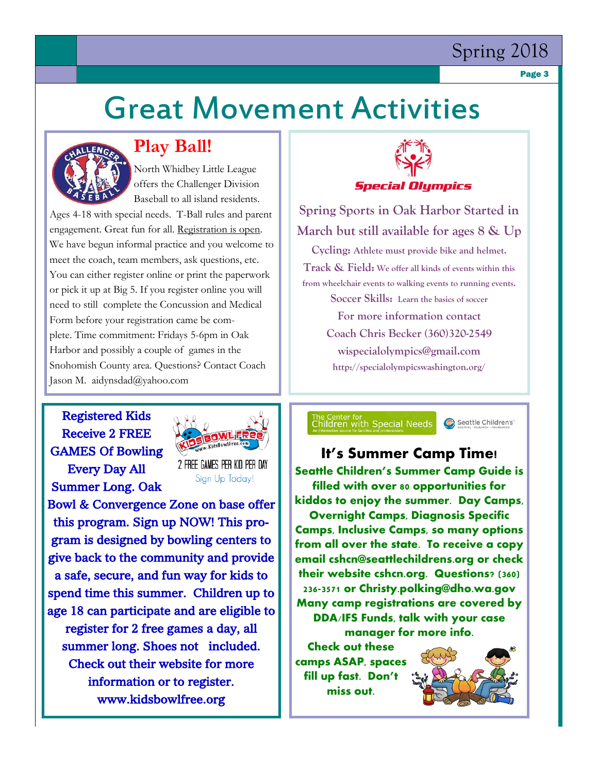### Spring 2018

Page 3

# Great Movement Activities



### **Play Ball!**

North Whidbey Little League offers the Challenger Division Baseball to all island residents.

Ages 4-18 with special needs. T-Ball rules and parent engagement. Great fun for all. Registration is open. We have begun informal practice and you welcome to meet the coach, team members, ask questions, etc. You can either register online or print the paperwork or pick it up at Big 5. If you register online you will need to still complete the Concussion and Medical Form before your registration came be complete. Time commitment: Fridays 5-6pm in Oak Harbor and possibly a couple of games in the Snohomish County area. Questions? Contact Coach Jason M. aidynsdad@yahoo.com

#### Registered Kids Receive 2 FREE GAMES Of Bowling Every Day All Summer Long. Oak



2 FREE GAMES PER KID PER DAY Sign Up Today!

Bowl & Convergence Zone on base offer this program. Sign up NOW! This program is designed by bowling centers to give back to the community and provide a safe, secure, and fun way for kids to spend time this summer. Children up to age 18 can participate and are eligible to register for 2 free games a day, all summer long. Shoes not included. Check out their website for more information or to register. www.kidsbowlfree.org



**Spring Sports in Oak Harbor Started in March but still available for ages 8 & Up Cycling: Athlete must provide bike and helmet. Track & Field: We offer all kinds of events within this from wheelchair events to walking events to running events. Soccer Skills: Learn the basics of soccer For more information contact Coach Chris Becker (360)320-2549 wispecialolympics@gmail.com http://specialolympicswashington.org/**

The Center for<br>Children with Special Needs

Seattle Children's

### **It's Summer Camp Time!**

**Seattle Children's Summer Camp Guide is filled with over 80 opportunities for kiddos to enjoy the summer. Day Camps, Overnight Camps, Diagnosis Specific Camps, Inclusive Camps, so many options from all over the state. To receive a copy email cshcn@seattlechildrens.org or check their website cshcn.org. Questions? (360) 236-3571 or Christy.polking@dho.wa.gov Many camp registrations are covered by DDA/IFS Funds, talk with your case manager for more info.** 

**Check out these camps ASAP, spaces fill up fast. Don't miss out.** 

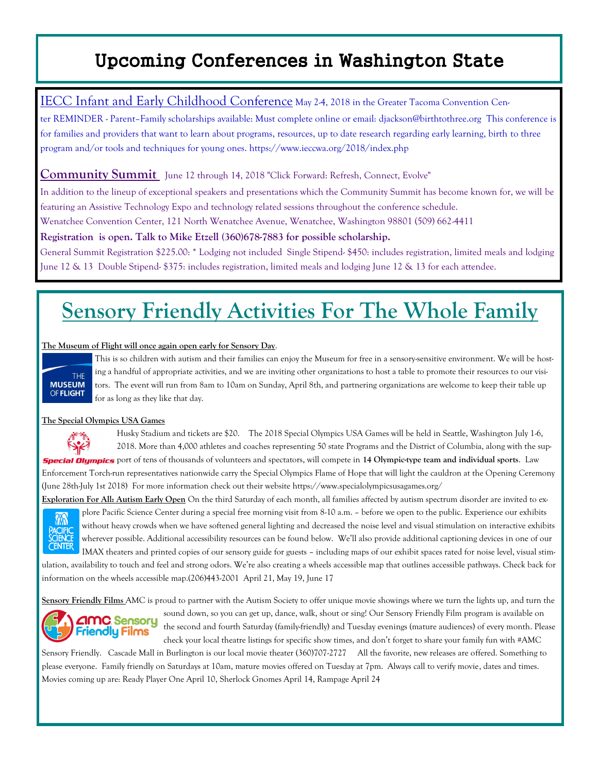## Upcoming Conferences in Washington State

#### IECC Infant and Early Childhood Conference May 24, 2018 in the Greater Tacoma Convention Cen-

ter REMINDER - Parent–Family scholarships available: Must complete online or email: djackson@birthtothree.org This conference is for families and providers that want to learn about programs, resources, up to date research regarding early learning, birth to three program and/or tools and techniques for young ones. https://www.ieccwa.org/2018/index.php

#### **Community Summit** June 12 through 14, 2018 "Click Forward: Refresh, Connect, Evolve"

In addition to the lineup of exceptional speakers and presentations which the Community Summit has become known for, we will be featuring an Assistive Technology Expo and technology related sessions throughout the conference schedule.

Wenatchee Convention Center, 121 North Wenatchee Avenue, Wenatchee, Washington 98801 (509) 662-4411

**Registration is open. Talk to Mike Etzell (360)678-7883 for possible scholarship.** 

General Summit Registration \$225.00: \* Lodging not included Single Stipend- \$450: includes registration, limited meals and lodging June 12 & 13 Double Stipend- \$375: includes registration, limited meals and lodging June 12 & 13 for each attendee.

# **Sensory Friendly Activities For The Whole Family**

#### **The Museum of Flight will once again open early for Sensory Day**.



This is so children with autism and their families can enjoy the Museum for free in a sensory-sensitive environment. We will be hosting a handful of appropriate activities, and we are inviting other organizations to host a table to promote their resources to our visitors. The event will run from 8am to 10am on Sunday, April 8th, and partnering organizations are welcome to keep their table up for as long as they like that day.

#### **The Special Olympics USA Games**



Husky Stadium and tickets are \$20. The 2018 Special Olympics USA Games will be held in Seattle, Washington July 1-6, 2018. More than 4,000 athletes and coaches representing 50 state Programs and the District of Columbia, along with the sup-**Special Olympics** port of tens of thousands of volunteers and spectators, will compete in 14 Olympic-type team and individual sports. Law Enforcement Torch-run representatives nationwide carry the Special Olympics Flame of Hope that will light the cauldron at the Opening Ceremony (June 28th-July 1st 2018) For more information check out their website https://www.specialolympicsusagames.org/

**Exploration For All: Autism Early Open** On the third Saturday of each month, all families affected by autism spectrum disorder are invited to explore Pacific Science Center during a special free morning visit from 8-10 a.m. – before we open to the public. Experience our exhibits

 $\mathcal{W}$ **PACIFIC<br>SCIFNC CENTER**  without heavy crowds when we have softened general lighting and decreased the noise level and visual stimulation on interactive exhibits wherever possible. Additional accessibility resources can be found below. We'll also provide additional captioning devices in one of our IMAX theaters and printed copies of our sensory guide for guests – including maps of our exhibit spaces rated for noise level, visual stim-

ulation, availability to touch and feel and strong odors. We're also creating a wheels accessible map that outlines accessible pathways. Check back for information on the wheels accessible map.(206)443-2001 April 21, May 19, June 17

**Sensory Friendly Films** AMC is proud to partner with the Autism Society to offer unique movie showings where we turn the lights up, and turn the



sound down, so you can get up, dance, walk, shout or sing! Our Sensory Friendly Film program is available on the second and fourth Saturday (family-friendly) and Tuesday evenings (mature audiences) of every month. Please check your local theatre listings for specific show times, and don't forget to share your family fun with #AMC

Sensory Friendly. Cascade Mall in Burlington is our local movie theater (360)707-2727 All the favorite, new releases are offered. Something to please everyone. Family friendly on Saturdays at 10am, mature movies offered on Tuesday at 7pm. Always call to verify movie, dates and times. Movies coming up are: Ready Player One April 10, Sherlock Gnomes April 14, Rampage April 24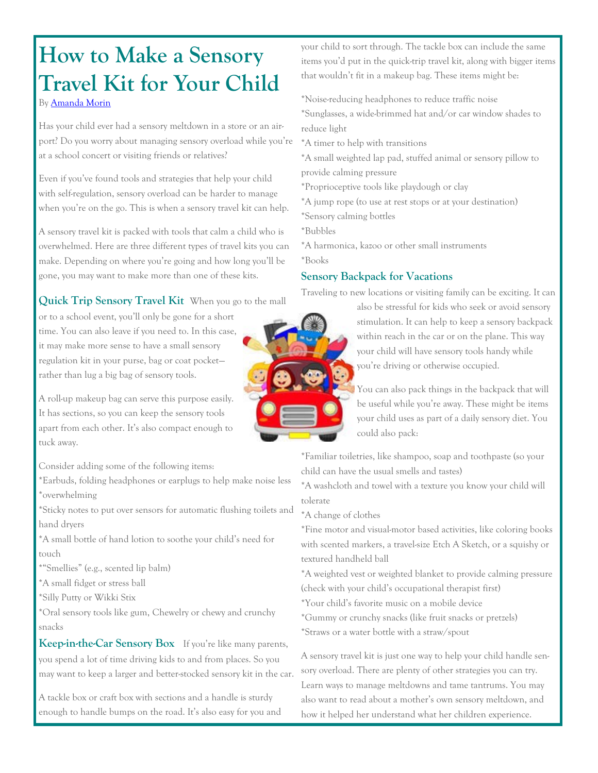# **How to Make a Sensory Travel Kit for Your Child**

By [Amanda Morin](https://www.understood.org/en/about/authors/Amanda-Morin)

Has your child ever had a sensory meltdown in a store or an airport? Do you worry about managing sensory overload while you're at a school concert or visiting friends or relatives?

Even if you've found tools and strategies that help your child with self-regulation, sensory overload can be harder to manage when you're on the go. This is when a sensory travel kit can help.

A sensory travel kit is packed with tools that calm a child who is overwhelmed. Here are three different types of travel kits you can make. Depending on where you're going and how long you'll be gone, you may want to make more than one of these kits.

**Quick Trip Sensory Travel Kit** When you go to the mall

or to a school event, you'll only be gone for a short time. You can also leave if you need to. In this case, it may make more sense to have a small sensory regulation kit in your purse, bag or coat pocket rather than lug a big bag of sensory tools.

A roll-up makeup bag can serve this purpose easily. It has sections, so you can keep the sensory tools apart from each other. It's also compact enough to tuck away.

Consider adding some of the following items:

\*Earbuds, folding headphones or earplugs to help make noise less \*overwhelming

\*Sticky notes to put over sensors for automatic flushing toilets and hand dryers

\*A small bottle of hand lotion to soothe your child's need for touch

\*"Smellies" (e.g., scented lip balm)

\*A small fidget or stress ball

\*Silly Putty or Wikki Stix

\*Oral sensory tools like gum, Chewelry or chewy and crunchy snacks

**Keep-in-the-Car Sensory Box** If you're like many parents, you spend a lot of time driving kids to and from places. So you may want to keep a larger and better-stocked sensory kit in the car.

A tackle box or craft box with sections and a handle is sturdy enough to handle bumps on the road. It's also easy for you and your child to sort through. The tackle box can include the same items you'd put in the quick-trip travel kit, along with bigger items that wouldn't fit in a makeup bag. These items might be:

\*Noise-reducing headphones to reduce traffic noise

- \*Sunglasses, a wide-brimmed hat and/or car window shades to reduce light
- \*A timer to help with transitions
- \*A small weighted lap pad, stuffed animal or sensory pillow to provide calming pressure
- \*Proprioceptive tools like playdough or clay
- \*A jump rope (to use at rest stops or at your destination)
- \*Sensory calming bottles
- \*Bubbles
- \*A harmonica, kazoo or other small instruments \*Books

#### **Sensory Backpack for Vacations**

Traveling to new locations or visiting family can be exciting. It can

also be stressful for kids who seek or avoid sensory stimulation. It can help to keep a sensory backpack within reach in the car or on the plane. This way your child will have sensory tools handy while you're driving or otherwise occupied.

You can also pack things in the backpack that will be useful while you're away. These might be items your child uses as part of a daily sensory diet. You could also pack:

\*Familiar toiletries, like shampoo, soap and toothpaste (so your child can have the usual smells and tastes)

\*A washcloth and towel with a texture you know your child will tolerate

\*A change of clothes

\*Fine motor and visual-motor based activities, like coloring books with scented markers, a travel-size Etch A Sketch, or a squishy or textured handheld ball

\*A weighted vest or weighted blanket to provide calming pressure (check with your child's occupational therapist first)

- \*Your child's favorite music on a mobile device
- \*Gummy or crunchy snacks (like fruit snacks or pretzels)
- \*Straws or a water bottle with a straw/spout

A sensory travel kit is just one way to help your child handle sensory overload. There are plenty of other strategies you can try. Learn ways to manage meltdowns and tame tantrums. You may also want to read about a mother's own sensory meltdown, and how it helped her understand what her children experience.